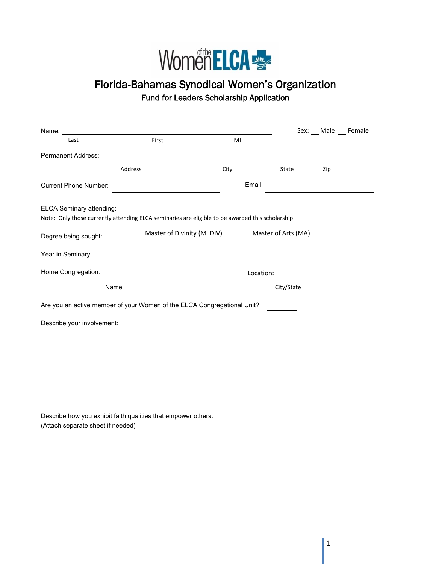

## Florida-Bahamas Synodical Women's Organization Fund for Leaders Scholarship Application

| Name:                                                                                            |                                                    |        |            |     | Sex: Male Female |
|--------------------------------------------------------------------------------------------------|----------------------------------------------------|--------|------------|-----|------------------|
| Last                                                                                             | First                                              | MI     |            |     |                  |
| <b>Permanent Address:</b>                                                                        |                                                    |        |            |     |                  |
|                                                                                                  | Address                                            | City   | State      | Zip |                  |
| <b>Current Phone Number:</b>                                                                     |                                                    | Email: |            |     |                  |
| ELCA Seminary attending:                                                                         |                                                    |        |            |     |                  |
| Note: Only those currently attending ELCA seminaries are eligible to be awarded this scholarship |                                                    |        |            |     |                  |
| Degree being sought:                                                                             | Master of Divinity (M. DIV)<br>Master of Arts (MA) |        |            |     |                  |
| Year in Seminary:                                                                                |                                                    |        |            |     |                  |
| Home Congregation:                                                                               |                                                    |        | Location:  |     |                  |
| Name                                                                                             |                                                    |        | City/State |     |                  |
| Are you an active member of your Women of the ELCA Congregational Unit?                          |                                                    |        |            |     |                  |
| Describe your involvement:                                                                       |                                                    |        |            |     |                  |
|                                                                                                  |                                                    |        |            |     |                  |
|                                                                                                  |                                                    |        |            |     |                  |
|                                                                                                  |                                                    |        |            |     |                  |

Describe how you exhibit faith qualities that empower others: (Attach separate sheet if needed)